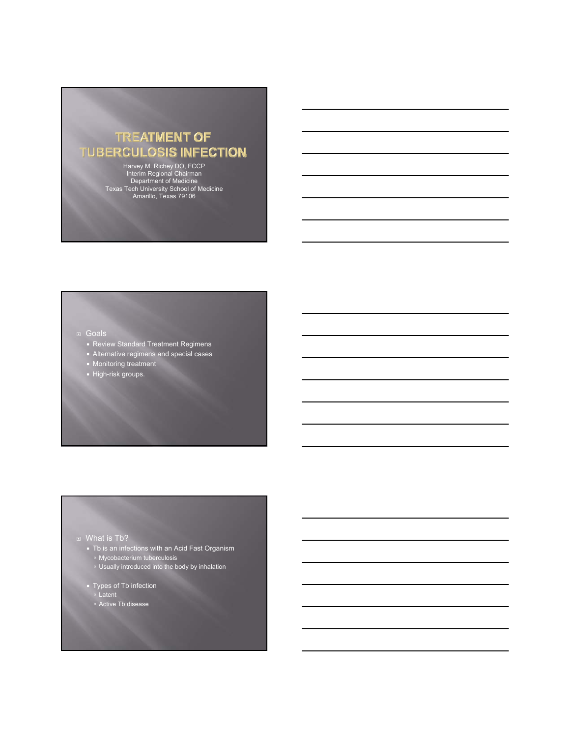# **TREATMENT OF TUBERCULOSIS INFECTION**

Harvey M. Richey DO, FCCP Interim Regional Chairman Department of Medicine Texas Tech University School of Medicine Amarillo, Texas 79106

### Goals

- **Review Standard Treatment Regimens**
- Alternative regimens and special cases
- **Monitoring treatment High-risk groups.**

### **D** What is Tb?

- $\blacksquare$  Tb is an infections with an Acid Fast Organism à Mycobacterium tuberculosis
	- **Usually introduced into the body by inhalation**
- Types of Tb infection
	- à Latent
	- <sup>o</sup> Active Tb disease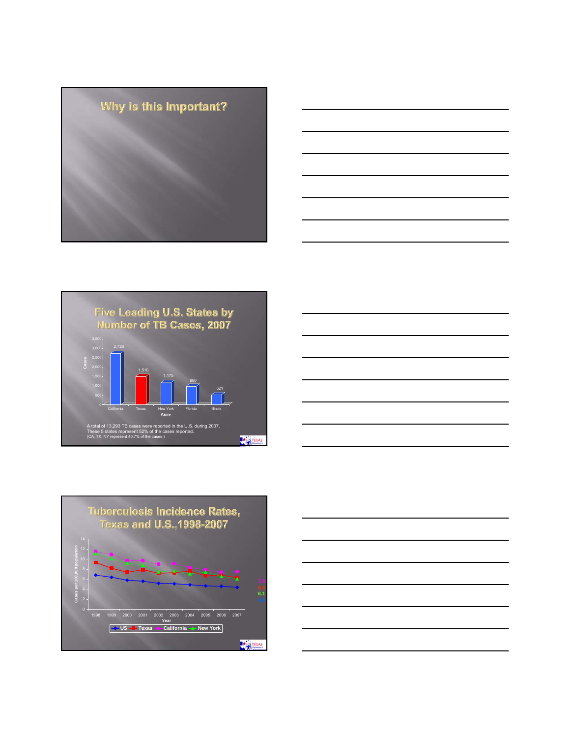









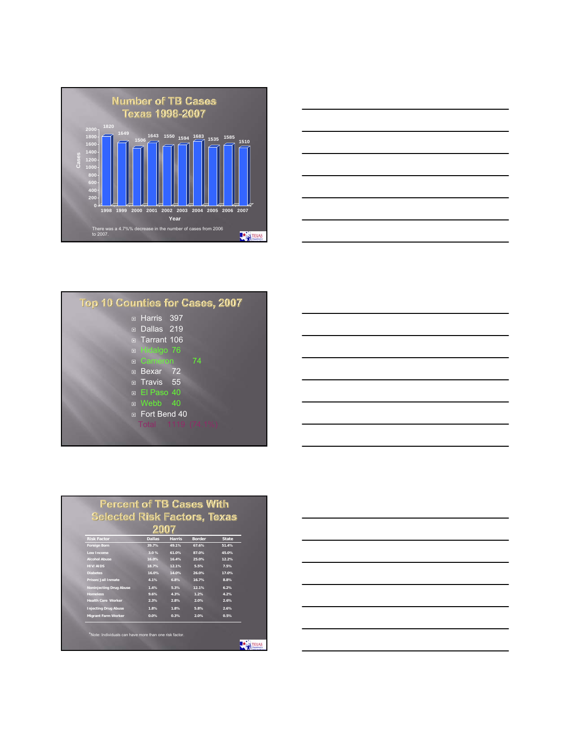



| <b>Top 10 Counties for Cases, 2007</b> |
|----------------------------------------|
| □ Harris 397                           |
| n Dallas 219                           |
| Tarrant 106                            |
| D Hidalgo 76                           |
| □ Cameron 74                           |
| Bexar 72                               |
| $\overline{p}$ Travis 55               |
| □ El Paso 40                           |
| D Webb 40                              |
| n Fort Bend 40                         |
| Total 1119 (74.1%)                     |
|                                        |

| <b>Percent of TB Cases With</b>     |               |               |               |              |  |
|-------------------------------------|---------------|---------------|---------------|--------------|--|
| <b>Selected Risk Factors, Texas</b> |               |               |               |              |  |
|                                     |               |               |               |              |  |
| <b>Risk Factor</b>                  | <b>Dallas</b> | <b>Harris</b> | <b>Border</b> | <b>State</b> |  |
| <b>Foreign Born</b>                 | 39.7%         | 49.1%         | 67.6%         | 51.4%        |  |
| Low Income                          | 3.0%          | 61.0%         | 87.0%         | 45.0%        |  |
| <b>Alcohol Abuse</b>                | 16.0%         | 16.4%         | 25.0%         | 12.2%        |  |
| <b>HIV/AIDS</b>                     | 18.7%         | 12.1%         | 5.5%          | 7.5%         |  |
| <b>Diabetes</b>                     | 16.0%         | 14.0%         | 26.0%         | 17.0%        |  |
| Prison/Jail Inmate                  | 4.1%          | 6.8%          | 16.7%         | 8.8%         |  |
| <b>Noninjecting Drug Abuse</b>      | 1.4%          | 5.3%          | 12.1%         | 6.2%         |  |
| <b>Homeless</b>                     | 9.6%          | 4.3%          | 1.2%          | 4.2%         |  |
| <b>Health Care Worker</b>           | 2.3%          | 2.8%          | 2.0%          | 2.6%         |  |
| <b>Injecting Drug Abuse</b>         | 1.8%          | 1.8%          | 5.8%          | 2.6%         |  |
| Migrant Farm Worker                 | 0.0%          | 0.3%          | 2.0%          | 0.5%         |  |

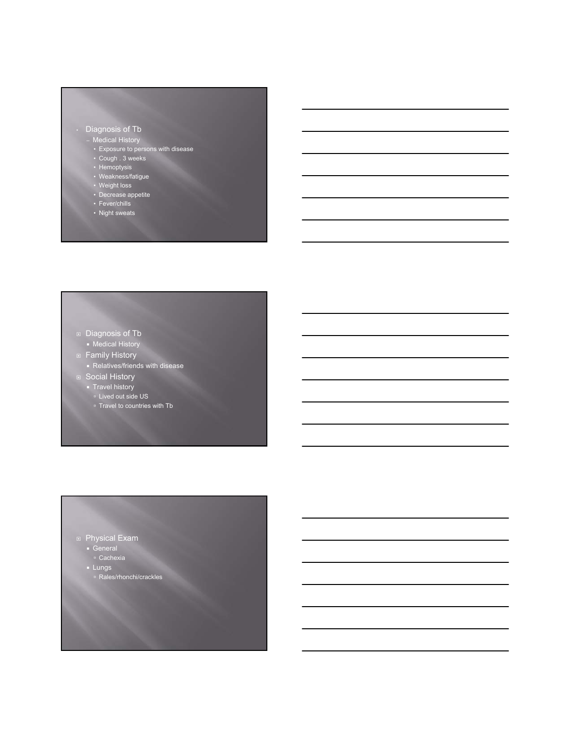# • Diagnosis of Tb

- Medical History
	- Exposure to persons with disease
	- Cough . 3 weeks • Hemoptysis
	- Weakness/fatigue
- Weight loss
- Decrease appetite
- Fever/chills
- Night sweats

#### ■ Diagnosis of Tb

- Medical History
- **Family History** 
	- Relatives/friends with disease
- **Social History**
- **Travel history**
- <sup>o</sup> Lived out side US
- □ Travel to countries with Tb

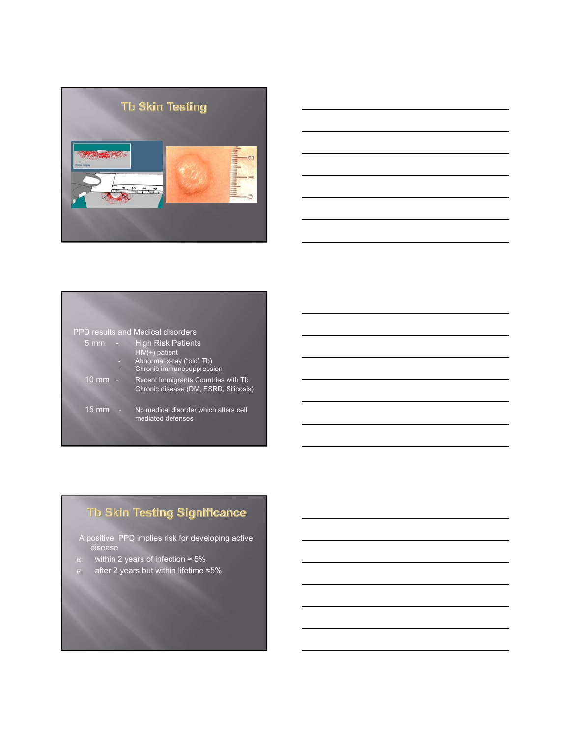



### PPD results and Medical disorders

| ּ mm | ▭ | <b>High Risk Patients</b> |
|------|---|---------------------------|
|      |   | HIV(+) patient            |
|      |   | Abnormal x-ray ("old" Tb) |
|      |   | Chronic immunosuppression |

10 mm - Recent Immigrants Countries with Tb Chronic disease (DM, ESRD, Silicosis)

# Th Skin Testing Significance

15 mm - No medical disorder which alters cell mediated defenses

A positive PPD implies risk for developing active disease

- within 2 years of infection ≈ 5%
- after 2 years but within lifetime ≈5%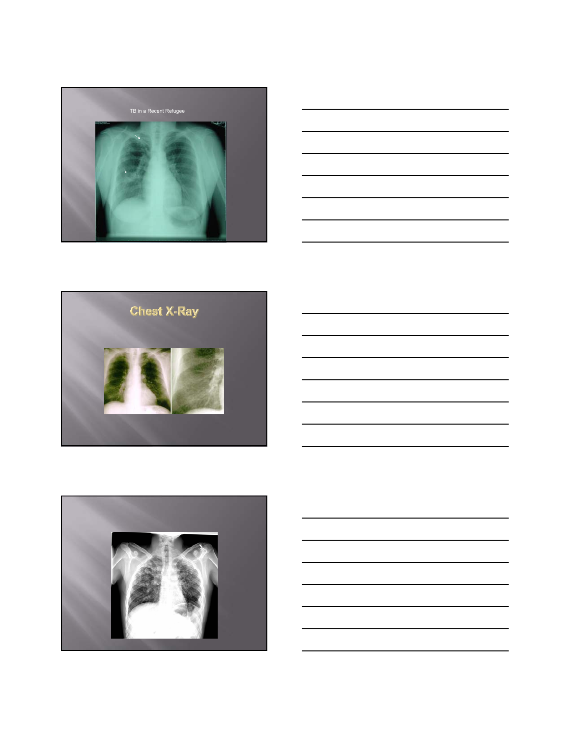

|  | _____ |
|--|-------|
|  |       |
|  |       |
|  |       |
|  |       |



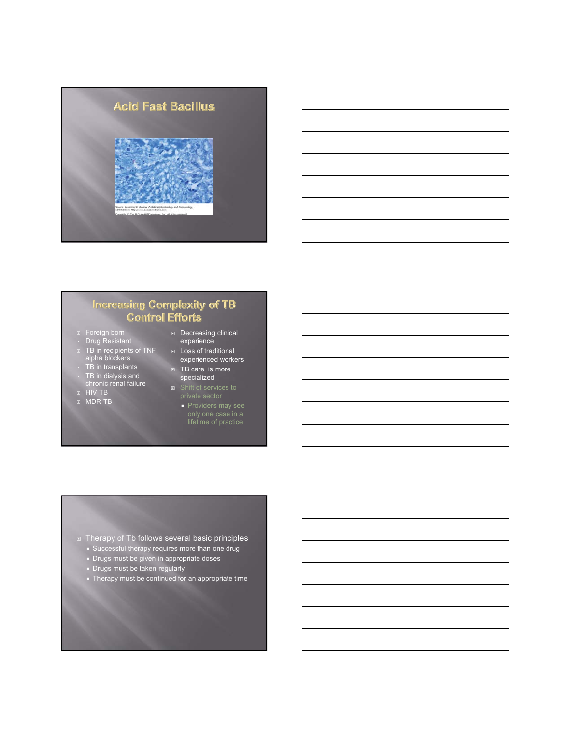

# **Increasing Complexity of TB Control Efforts**

- **E** Foreign born
- Drug Resistant
- TB in recipients of TNF<br>alpha blockers
- **□** TB in transplants TB in dialysis and chronic renal failure
- HIV TB
- 
- 
- MDR TB
- Decreasing clinical experience D Loss of traditional
	- experienced workers **TB** care is more
	- specialized
	- private sector
		- **Providers may see** only one case in a lifetime of practice

### **E** Therapy of Tb follows several basic principles

- **Successful therapy requires more than one drug**
- **Drugs must be given in appropriate doses**
- **Drugs must be taken regularly**
- Therapy must be continued for an appropriate time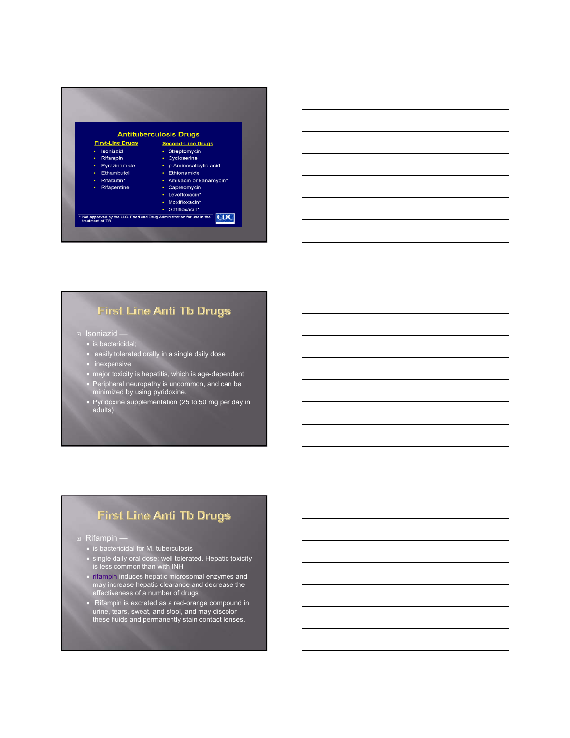



# **First Line Anti Tb Drugs**

- Isoniazid
	- **is bactericidal;**
	- **EXE** easily tolerated orally in a single daily dose
	- **n** inexpensive
	- major toxicity is hepatitis, which is age-dependent
	- **Peripheral neuropathy is uncommon, and can be** minimized by using pyridoxine.
	- Pyridoxine supplementation (25 to 50 mg per day in adults)

# **First Line Anti Tb Drugs**

### ■ Rifampin –

- $\blacksquare$  is bactericidal for M. tuberculosis
- single daily oral dose: well tolerated. Hepatic toxicity is less common than with INH
- **rifampin** induces hepatic microsomal enzymes and may increase hepatic clearance and decrease the effectiveness of a number of drugs
- Rifampin is excreted as a red-orange compound in urine, tears, sweat, and stool, and may discolor these fluids and permanently stain contact lenses.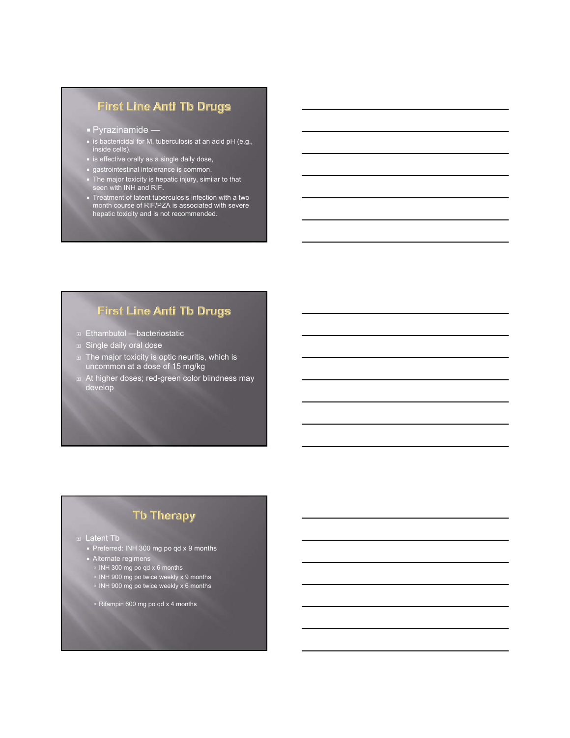# **First Line Anti Tb Drugs**

- **Pyrazinamide** —
- **is bactericidal for M. tuberculosis at an acid pH (e.g.,** inside cells).
- **Example 13 is effective orally as a single daily dose,**
- gastrointestinal intolerance is common.
- The major toxicity is hepatic injury, similar to that seen with INH and RIF.
- Treatment of latent tuberculosis infection with a two month course of RIF/PZA is associated with severe hepatic toxicity and is not recommended.

# **First Line Anti Tb Drugs**

- Ethambutol —bacteriostatic
- **Single daily oral dose**
- The major toxicity is optic neuritis, which is uncommon at a dose of 15 mg/kg
- At higher doses; red-green color blindness may develop

# **Tb Therapy**

### Latent Tb

- Preferred: INH 300 mg po qd x 9 months
- **Alternate regimens**
- INH 300 mg po qd x 6 months
- **INH 900 mg po twice weekly x 9 months**
- **INH 900 mg po twice weekly x 6 months**
- à Rifampin 600 mg po qd x 4 months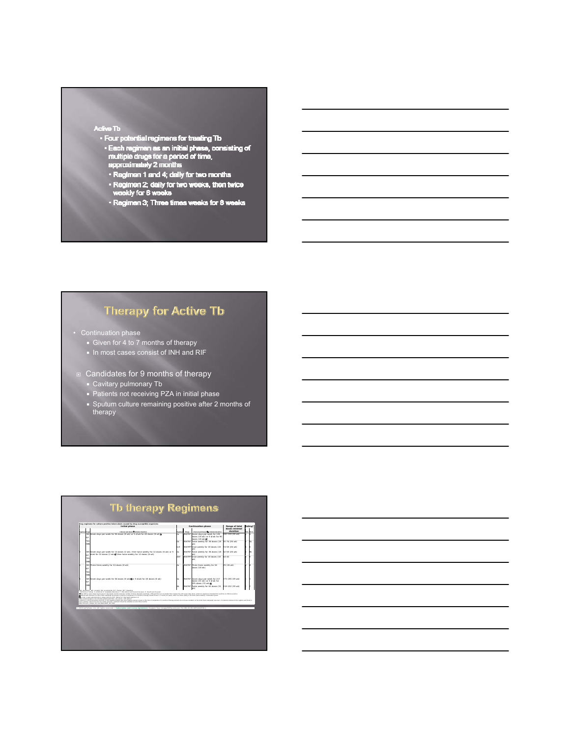- 
- Active Tb<br>• Four potential regimens for treating Tb<br>• Each regimen as an initial phase, consisting of<br>mutiple drugs for a period of time,<br>• epproximately 2 months<br>• Regimen 1 and 4: daily for two months
	-
	- -<br>
	Regimen 1 and 4; daily for two months<br>
	Regimen 2; daily for two weeks, then twice<br>
	weekly for 6 weeks
	- · Regimen 3; Three times weeks for 8 weeks

# **Therapy for Active Tb**

- Continuation phase
	- Given for 4 to 7 months of therapy
	- In most cases consist of INH and RIF
	- Candidates for 9 months of therapy
	- Cavitary pulmonary Tb
	- **Patients not receiving PZA in initial phase**
	- Sputum culture remaining positive after 2 months of therapy

| Drug regiment for culture-positive tuberculosis caused by drug-susceptible organisms<br>Initial phase |                                                                                       |                                                                                                                                                                                                                                                                                                                                                                                                                                                                                                                                                                                                                                                                                                                                                                                                                                                                                                                                                                            |             | Continuation phase | Range of total                                                                           | Rating*                    |  |    |
|-------------------------------------------------------------------------------------------------------|---------------------------------------------------------------------------------------|----------------------------------------------------------------------------------------------------------------------------------------------------------------------------------------------------------------------------------------------------------------------------------------------------------------------------------------------------------------------------------------------------------------------------------------------------------------------------------------------------------------------------------------------------------------------------------------------------------------------------------------------------------------------------------------------------------------------------------------------------------------------------------------------------------------------------------------------------------------------------------------------------------------------------------------------------------------------------|-------------|--------------------|------------------------------------------------------------------------------------------|----------------------------|--|----|
| <b><i><u><u>Instrument</u></u></i></b>                                                                | <b>Secure</b>                                                                         | Internal and down. Training duration                                                                                                                                                                                                                                                                                                                                                                                                                                                                                                                                                                                                                                                                                                                                                                                                                                                                                                                                       |             | <b>Dram</b>        | Interval and desire of minimal duration.                                                 | dosas minimal.<br>duration |  |    |
|                                                                                                       | INH Seven days per week for 56 doses (ill wk) or 5 d/wk for 40 doses (ill wk)@<br>RIF |                                                                                                                                                                                                                                                                                                                                                                                                                                                                                                                                                                                                                                                                                                                                                                                                                                                                                                                                                                            | la          |                    | INH/RIF Seven days per week for 126<br>down. (18 wk) or 5 d/wk for 90<br>Boxes (10 wide) | 182-130 (26 wk)            |  |    |
|                                                                                                       | PZA<br><b>EME</b>                                                                     |                                                                                                                                                                                                                                                                                                                                                                                                                                                                                                                                                                                                                                                                                                                                                                                                                                                                                                                                                                            | ĩЬ          |                    | INH/RIF Twice weekly for 36 down (18)<br>uk).                                            | 92-76 (26 wk)              |  | ۵ł |
|                                                                                                       |                                                                                       |                                                                                                                                                                                                                                                                                                                                                                                                                                                                                                                                                                                                                                                                                                                                                                                                                                                                                                                                                                            | 1c¥         |                    | INH/RPT Once weekly for 18 doses (18)<br>nde)                                            | 74-58 (26 wk)              |  |    |
|                                                                                                       | <b>DIE</b>                                                                            | NH Seven days per week for 14 doses (2 wk), then twice weekly for 12 doses (6 wk) or 5<br>d/wk for 10 doses (2 wk) <sup>8</sup> then twice weekly for 12 doses (6 wk)                                                                                                                                                                                                                                                                                                                                                                                                                                                                                                                                                                                                                                                                                                                                                                                                      |             |                    | INH/RIF Twice weekly for 36 down (18)<br>nde S                                           | 62-58 (26 wk)              |  |    |
|                                                                                                       | PZA<br><b>EME</b>                                                                     |                                                                                                                                                                                                                                                                                                                                                                                                                                                                                                                                                                                                                                                                                                                                                                                                                                                                                                                                                                            | <b>D</b> b¥ |                    | INH/RPT Once weekly for 18 doses (18)<br>edc)                                            | 44.40                      |  |    |
|                                                                                                       | RIF<br>PZA<br><b>EMB</b>                                                              | NH Three times weekly for 24 doses (i) wk)                                                                                                                                                                                                                                                                                                                                                                                                                                                                                                                                                                                                                                                                                                                                                                                                                                                                                                                                 | <b>Sim</b>  | INH/RIF            | Three times weekly for 54<br>down (18 wk)                                                | 70 (26 wk)                 |  |    |
|                                                                                                       | RIF                                                                                   | INH Seven days per week for 56 doses (il wk) for 5 d/wk for 40 doses (il wk)                                                                                                                                                                                                                                                                                                                                                                                                                                                                                                                                                                                                                                                                                                                                                                                                                                                                                               | ån.         |                    | INH/RIF Seven days per week for 217<br>down (31 wk) or 5 d/wk for<br>155 doses (31 wk)   | 273-195 (39 wk)            |  |    |
|                                                                                                       | <b>EME</b>                                                                            |                                                                                                                                                                                                                                                                                                                                                                                                                                                                                                                                                                                                                                                                                                                                                                                                                                                                                                                                                                            | 4b          |                    | NH/RIF Twice weekly for 62 down (31)<br>mar)                                             | 118-102 (39 wk)            |  |    |
|                                                                                                       |                                                                                       | Analysis with cardiation are tribal chest nutsimpade and anality cultures at completion of 2 months of therapy should receive a 3 months (2) apply. (2) apply. (2) about 1992 217 doubt, (4) d) and (3) at 5 doubt, (2) contro<br>The step a senit administration is always given by DOT. Bating for 5 step lanet regiment is A.<br>5 Set recommended for HV, infected patients with CDS and counts a 100 colls hel-<br>If Castlerys, To appel 2by should be used and/or following that locus meaning needing sealings present at the time of commission of the mean and then are and when do ment have constantion on the initial check such along nu<br>here a senitor culture from the two month was imported by painted should be enterpied an extra three months.<br>Data from Jim J Email: O'E Care Med 2003 147 403.<br>@ 2009 UpToDate, Inc. All rights reserved.   Subscription and Ligene Agreement   Support Tag: Fecapo0503p.utd.com-74.196.43.90-A6F0A52E06-1 |             |                    |                                                                                          |                            |  |    |

# **Tb therapy Regimens**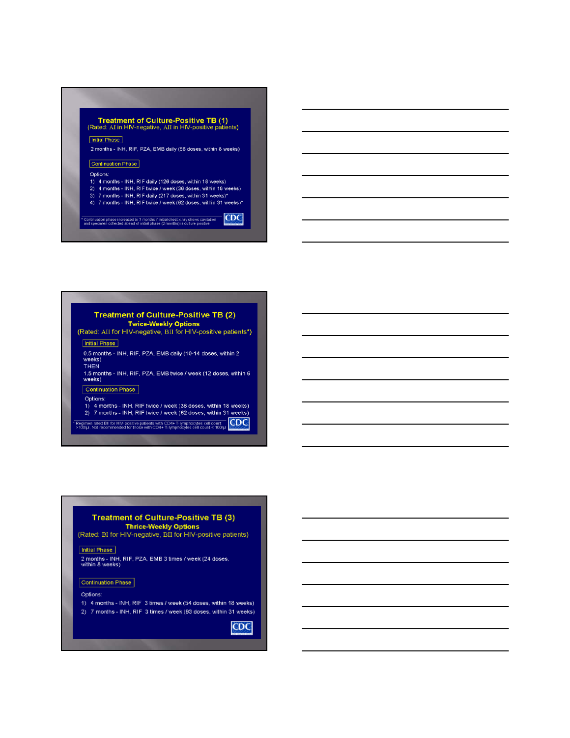# Treatment of Culture-Positive TB (1)<br>(Rated: AI in HIV-negative, AII in HIV-positive patients) **Initial Phase** 2 months - INH, RIF, PZA, EMB daily (56 doses, within 8 weeks) Continuation Phase Options: 1) 4 months - INH, RIF daily (126 doses, within 18 weeks)<br>2) 4 months - INH, RIF twice / week (36 doses, within 18 weeks)<br>3) 7 months - INH, RIF daily (217 doses, within 31 weeks)\* 4) 7 months - INH, RIF twice / week (62 doses, within 31 weeks)\*

CDC .<br>Continuation phase increased to 7 months if initial chest x-ray shows cavitation<br>and specimen collected at end of initial phase (2 months) is culture positive

# **Treatment of Culture-Positive TB (2)** Twice-Weekly Options<br>Twice-Weekly Options<br>(Rated: AII for HIV-negative, BII for HIV-positive patients\*)

**Initial Phase** 

0.5 months - INH, RIF, PZA, EMB daily (10-14 doses, within 2 weeks) **THEN** 

1.5 months - INH, RIF, PZA, EMB twice / week (12 doses, within 6<br>weeks)

Continuation Phase

#### Options:

1) 4 months - INH, RIF twice / week (36 doses, within 18 weeks) 2) 7 months - INH, RIF twice / week (62 doses, within 31 weeks)

Regimen rated Bill for HIV-positive patients with CD4+ T-lymphocytes cell count<br>>100hd, Not recommended for those with CD4+ T-lymphocytes cell count < 100hd

# Treatment of Culture-Positive TB (3) Thrice-Weekly Options<br>(Rated: BI for HIV-negative, BII for HIV-positive patients)

Initial Phase

2 months - INH, RIF, PZA, EMB 3 times / week (24 doses, within 8 weeks)

### Continuation Phase

Options:

- 1) 4 months INH, RIF 3 times / week (54 doses, within 18 weeks)
- 2) 7 months INH, RIF 3 times / week (93 doses, within 31 weeks)

**CDC**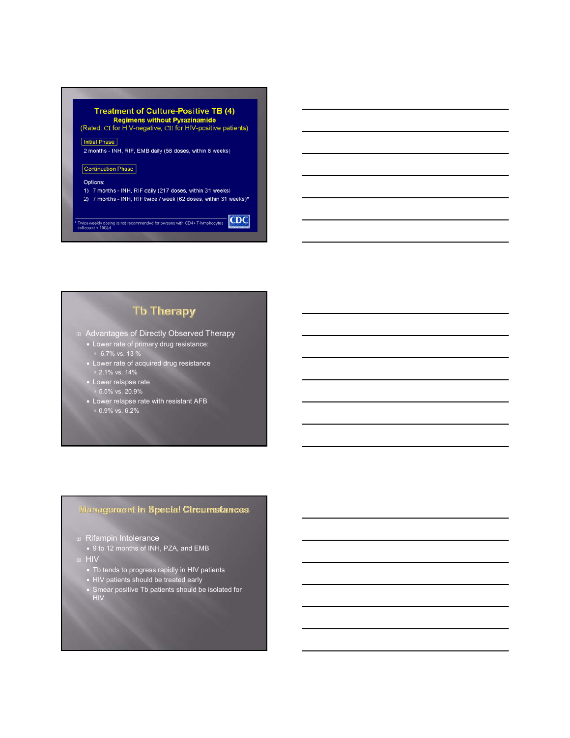

# **Tb Therapy**

Advantages of Directly Observed Therapy

- **Lower rate of primary drug resistance:**  $= 6.7\%$  vs. 13  $\%$
- **EXE** Lower rate of acquired drug resistance  $\sqrt{2}$ .1% vs. 14%
- **Lower relapse rate** à 5.5% vs. 20.9%
- **Lower relapse rate with resistant AFB**  $\,\overline{0.9\%}$  vs. 6.2%

### **Management in Special Circumstances**

**B** Rifampin Intolerance

9 to 12 months of INH, PZA, and EMB

HIV

- Tb tends to progress rapidly in HIV patients
- **HIV patients should be treated early**
- Smear positive Tb patients should be isolated for HIV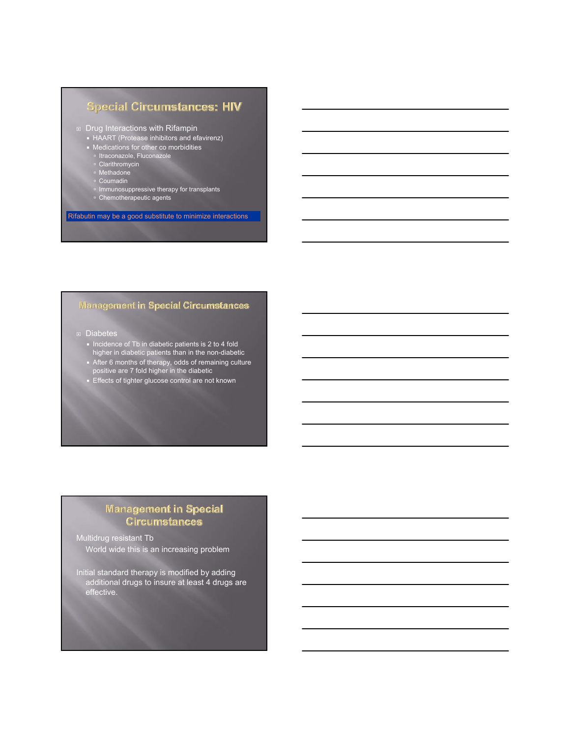# **Special Circumstances: HIV**

#### Drug Interactions with Rifampin

- HAART (Protease inhibitors and efavirenz)
- Medications for other co morbidities
	- à Itraconazole, Fluconazole
	- <sup>o</sup> Clarithromycin
	- à Methadone
	- à Coumadin
- **Immunosuppressive therapy for transplants**
- à Chemotherapeutic agents

Rifabutin may be a good substitute to minimize interactions

# **Management in Special Circumstances**

- Diabetes
	- Incidence of Tb in diabetic patients is 2 to 4 fold higher in diabetic patients than in the non-diabetic
	- After 6 months of therapy, odds of remaining culture positive are 7 fold higher in the diabetic
	- **Effects of tighter glucose control are not known**

# **Wanagement in Special Circumstances**

Multidrug resistant Tb World wide this is an increasing problem

Initial standard therapy is modified by adding additional drugs to insure at least 4 drugs are effective.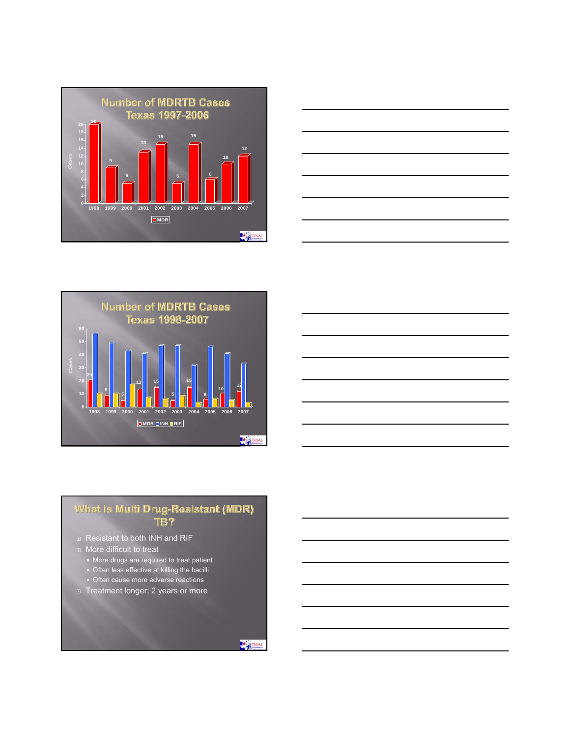





# What is Multi Drug-Resistant (MDR)<br>TB?

- **Resistant to both INH and RIF**
- **More difficult to treat** 
	- **More drugs are required to treat patient**
	- **Dealler 1** Often less effective at killing the bacilli
	- **Often cause more adverse reactions**
- **Treatment longer; 2 years or more**

TEXAS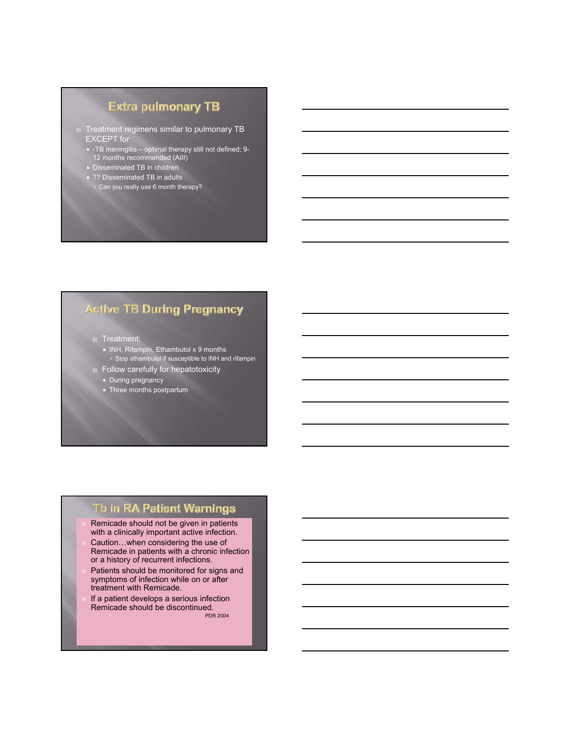# Extra pulmonary TB

- □ Treatment regimens similar to pulmonary TB EXCEPT for
	- -TB meningitis optimal therapy still not defined; 9- 12 months recommended (AIII)
	- Disseminated TB in children
	- ?? Disseminated TB in adults <sup>o</sup> Can you really use 6 month therapy?

# **Active TB During Pregnancy**

- **E** Treatment:
	- INH, Rifampin, Ethambutol x 9 months
	- □ Stop ethambutol if susceptible to INH and rifampin
- **Follow carefully for hepatotoxicity** 
	- During pregnancy
- **Three months postpartum**

# Tb in RA Patient Warnings

- Remicade should not be given in patients with a clinically important active infection.
- Caution...when considering the use of Remicade in patients with a chronic infection or a history of recurrent infections.
- Patients should be monitored for signs and symptoms of infection while on or after treatment with Remicade.
- If a patient develops a serious infection Remicade should be discontinued. PDR 2004